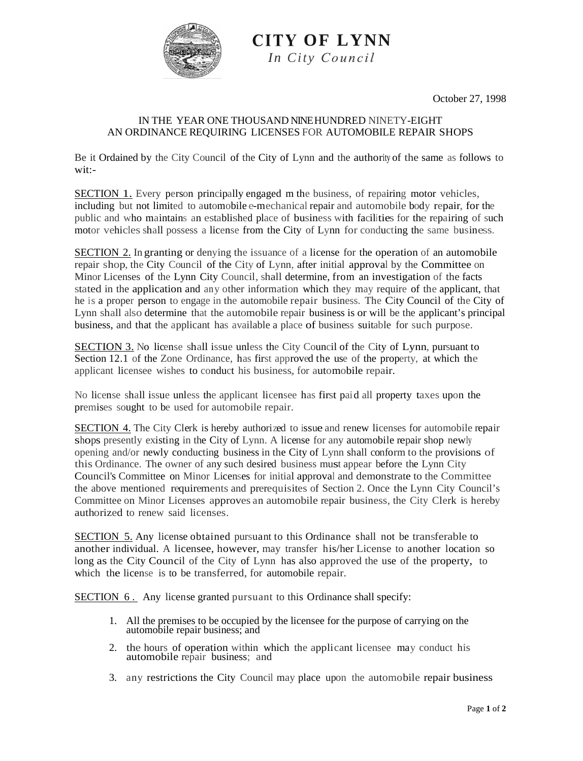

**CITY OF LYNN** *In City* 

October 27, 1998

## IN THE YEAR ONE THOUSAND NINE HUNDRED NINETY-EIGHT AN ORDINANCE REQUIRING LICENSES FOR AUTOMOBILE REPAIR SHOPS

Be it Ordained by the City Council of the City of Lynn and the authority of the same as follows to wit:-

SECTION 1. Every person principally engaged m the business, of repairing motor vehicles, including but not limited to automobile e-mechanical repair and automobile body repair, for the public and who maintains an established place of business with facilities for the repairing of such motor vehicles shall possess a license from the City of Lynn for conducting the same business.

SECTION 2. In granting or denying the issuance of a license for the operation of an automobile repair shop, the City Council of the City of Lynn, after initial approval by the Committee on Minor Licenses of the Lynn City Council, shall determine, from an investigation of the facts stated in the application and any other information which they may require of the applicant, that he is a proper person to engage in the automobile repair business. The City Council of the City of Lynn shall also determine that the automobile repair business is or will be the applicant's principal business, and that the applicant has available a place of business suitable for such purpose.

SECTION 3. No license shall issue unless the City Council of the City of Lynn, pursuant to Section 12.1 of the Zone Ordinance, has first approved the use of the property, at which the applicant licensee wishes to conduct his business, for automobile repair.

No license shall issue unless the applicant licensee has first paid all property taxes upon the premises sought to be used for automobile repair.

SECTION 4. The City Clerk is hereby authorized to issue and renew licenses for automobile repair shops presently existing in the City of Lynn. A license for any automobile repair shop newly opening and/or newly conducting business in the City of Lynn shall conform to the provisions of this Ordinance. The owner of any such desired business must appear before the Lynn City Council's Committee on Minor Licenses for initial approval and demonstrate to the Committee the above mentioned requirements and prerequisites of Section 2. Once the Lynn City Council's Committee on Minor Licenses approves an automobile repair business, the City Clerk is hereby authorized to renew said licenses.

SECTION 5. Any license obtained pursuant to this Ordinance shall not be transferable to another individual. A licensee, however, may transfer his/her License to another location so long as the City Council of the City of Lynn has also approved the use of the property, to which the license is to be transferred, for automobile repair.

SECTION 6 . Any license granted pursuant to this Ordinance shall specify:

- 1. All the premises to be occupied by the licensee for the purpose of carrying on the automobile repair business; and
- 2. the hours of operation within which the applicant licensee may conduct his automobile repair business; and
- 3. any restrictions the City Council may place upon the automobile repair business